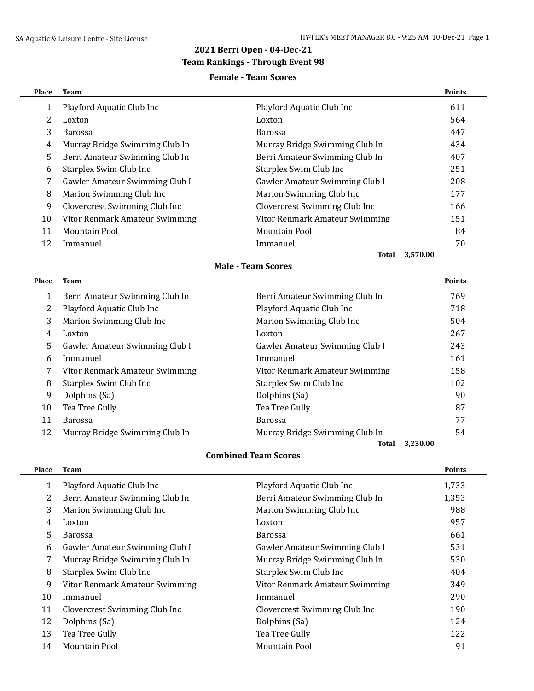## **2021 Berri Open - 04-Dec-21**

### **Team Rankings - Through Event 98**

#### **Female - Team Scores**

| <b>Place</b> | Team                           |                                | <b>Points</b> |
|--------------|--------------------------------|--------------------------------|---------------|
| 1            | Playford Aquatic Club Inc      | Playford Aquatic Club Inc      | 611           |
|              | Loxton                         | Loxton                         | 564           |
| 3            | Barossa                        | <b>Barossa</b>                 | 447           |
| 4            | Murray Bridge Swimming Club In | Murray Bridge Swimming Club In | 434           |
| 5            | Berri Amateur Swimming Club In | Berri Amateur Swimming Club In | 407           |
| 6            | Starplex Swim Club Inc         | Starplex Swim Club Inc         | 251           |
| 7            | Gawler Amateur Swimming Club I | Gawler Amateur Swimming Club I | 208           |
| 8            | Marion Swimming Club Inc       | Marion Swimming Club Inc       | 177           |
| 9            | Clovercrest Swimming Club Inc  | Clovercrest Swimming Club Inc  | 166           |
| 10           | Vitor Renmark Amateur Swimming | Vitor Renmark Amateur Swimming | 151           |
| 11           | Mountain Pool                  | Mountain Pool                  | 84            |
| 12           | Immanuel                       | Immanuel                       | 70            |
|              |                                | Total<br>3,570.00              |               |

#### **Male - Team Scores**

| Place | Team                           |                                | <b>Points</b> |
|-------|--------------------------------|--------------------------------|---------------|
| 1     | Berri Amateur Swimming Club In | Berri Amateur Swimming Club In | 769           |
| 2     | Playford Aquatic Club Inc      | Playford Aquatic Club Inc      | 718           |
| 3     | Marion Swimming Club Inc       | Marion Swimming Club Inc       | 504           |
| 4     | Loxton                         | Loxton                         | 267           |
| 5     | Gawler Amateur Swimming Club I | Gawler Amateur Swimming Club I | 243           |
| 6     | Immanuel                       | Immanuel                       | 161           |
| 7     | Vitor Renmark Amateur Swimming | Vitor Renmark Amateur Swimming | 158           |
| 8     | Starplex Swim Club Inc         | Starplex Swim Club Inc         | 102           |
| 9     | Dolphins (Sa)                  | Dolphins (Sa)                  | 90            |
| 10    | Tea Tree Gully                 | Tea Tree Gully                 | 87            |
| 11    | Barossa                        | <b>Barossa</b>                 | 77            |
| 12    | Murray Bridge Swimming Club In | Murray Bridge Swimming Club In | 54            |
|       |                                | Total                          | 3,230.00      |

#### **Combined Team Scores**

| Place | <b>Team</b>                    |                                | <b>Points</b> |
|-------|--------------------------------|--------------------------------|---------------|
| 1     | Playford Aquatic Club Inc      | Playford Aquatic Club Inc      | 1,733         |
| 2     | Berri Amateur Swimming Club In | Berri Amateur Swimming Club In | 1,353         |
| 3     | Marion Swimming Club Inc       | Marion Swimming Club Inc       | 988           |
| 4     | Loxton                         | Loxton                         | 957           |
| 5     | <b>Barossa</b>                 | Barossa                        | 661           |
| 6     | Gawler Amateur Swimming Club I | Gawler Amateur Swimming Club I | 531           |
| 7     | Murray Bridge Swimming Club In | Murray Bridge Swimming Club In | 530           |
| 8     | Starplex Swim Club Inc         | Starplex Swim Club Inc         | 404           |
| 9     | Vitor Renmark Amateur Swimming | Vitor Renmark Amateur Swimming | 349           |
| 10    | Immanuel                       | Immanuel                       | 290           |
| 11    | Clovercrest Swimming Club Inc  | Clovercrest Swimming Club Inc  | 190           |
| 12    | Dolphins (Sa)                  | Dolphins (Sa)                  | 124           |
| 13    | Tea Tree Gully                 | Tea Tree Gully                 | 122           |
| 14    | <b>Mountain Pool</b>           | <b>Mountain Pool</b>           | 91            |
|       |                                |                                |               |